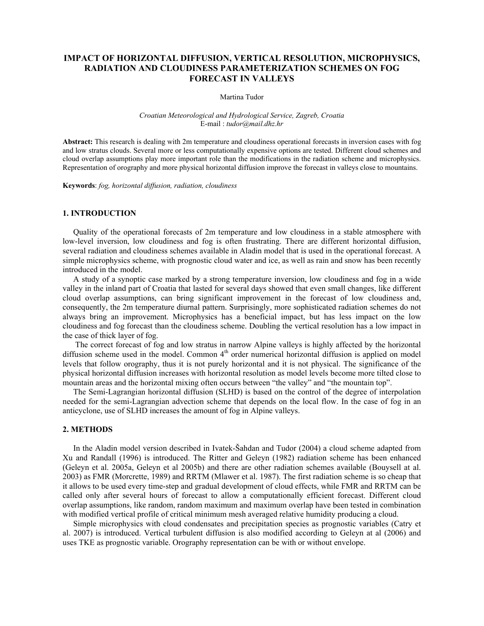# **IMPACT OF HORIZONTAL DIFFUSION, VERTICAL RESOLUTION, MICROPHYSICS, RADIATION AND CLOUDINESS PARAMETERIZATION SCHEMES ON FOG FORECAST IN VALLEYS**

### Martina Tudor

## *Croatian Meteorological and Hydrological Service, Zagreb, Croatia*  E-mail : *tudor@mail.dhz.hr*

**Abstract:** This research is dealing with 2m temperature and cloudiness operational forecasts in inversion cases with fog and low stratus clouds. Several more or less computationally expensive options are tested. Different cloud schemes and cloud overlap assumptions play more important role than the modifications in the radiation scheme and microphysics. Representation of orography and more physical horizontal diffusion improve the forecast in valleys close to mountains.

**Keywords**: *fog, horizontal diffusion, radiation, cloudiness* 

# **1. INTRODUCTION**

Quality of the operational forecasts of 2m temperature and low cloudiness in a stable atmosphere with low-level inversion, low cloudiness and fog is often frustrating. There are different horizontal diffusion, several radiation and cloudiness schemes available in Aladin model that is used in the operational forecast. A simple microphysics scheme, with prognostic cloud water and ice, as well as rain and snow has been recently introduced in the model.

A study of a synoptic case marked by a strong temperature inversion, low cloudiness and fog in a wide valley in the inland part of Croatia that lasted for several days showed that even small changes, like different cloud overlap assumptions, can bring significant improvement in the forecast of low cloudiness and, consequently, the 2m temperature diurnal pattern. Surprisingly, more sophisticated radiation schemes do not always bring an improvement. Microphysics has a beneficial impact, but has less impact on the low cloudiness and fog forecast than the cloudiness scheme. Doubling the vertical resolution has a low impact in the case of thick layer of fog.

 The correct forecast of fog and low stratus in narrow Alpine valleys is highly affected by the horizontal diffusion scheme used in the model. Common  $4<sup>th</sup>$  order numerical horizontal diffusion is applied on model levels that follow orography, thus it is not purely horizontal and it is not physical. The significance of the physical horizontal diffusion increases with horizontal resolution as model levels become more tilted close to mountain areas and the horizontal mixing often occurs between "the valley" and "the mountain top".

The Semi-Lagrangian horizontal diffusion (SLHD) is based on the control of the degree of interpolation needed for the semi-Lagrangian advection scheme that depends on the local flow. In the case of fog in an anticyclone, use of SLHD increases the amount of fog in Alpine valleys.

### **2. METHODS**

In the Aladin model version described in Ivatek-Šahdan and Tudor (2004) a cloud scheme adapted from Xu and Randall (1996) is introduced. The Ritter and Geleyn (1982) radiation scheme has been enhanced (Geleyn et al. 2005a, Geleyn et al 2005b) and there are other radiation schemes available (Bouysell at al. 2003) as FMR (Morcrette, 1989) and RRTM (Mlawer et al. 1987). The first radiation scheme is so cheap that it allows to be used every time-step and gradual development of cloud effects, while FMR and RRTM can be called only after several hours of forecast to allow a computationally efficient forecast. Different cloud overlap assumptions, like random, random maximum and maximum overlap have been tested in combination with modified vertical profile of critical minimum mesh averaged relative humidity producing a cloud.

Simple microphysics with cloud condensates and precipitation species as prognostic variables (Catry et al. 2007) is introduced. Vertical turbulent diffusion is also modified according to Geleyn at al (2006) and uses TKE as prognostic variable. Orography representation can be with or without envelope.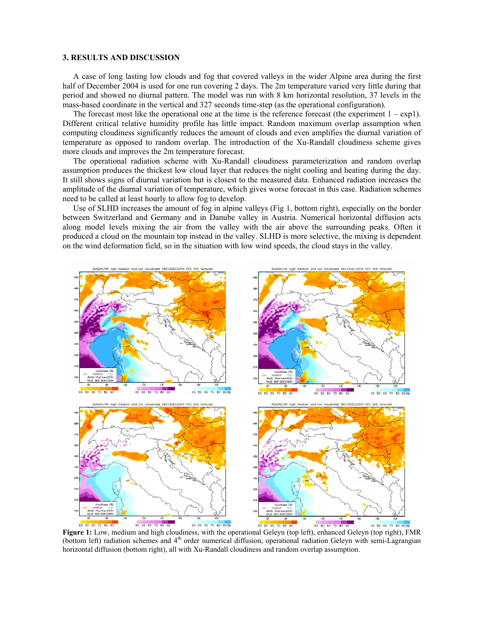## **3. RESULTS AND DISCUSSION**

A case of long lasting low clouds and fog that covered valleys in the wider Alpine area during the first half of December 2004 is used for one run covering 2 days. The 2m temperature varied very little during that period and showed no diurnal pattern. The model was run with 8 km horizontal resolution, 37 levels in the mass-based coordinate in the vertical and 327 seconds time-step (as the operational configuration).

The forecast most like the operational one at the time is the reference forecast (the experiment  $1 - \exp(1)$ ). Different critical relative humidity profile has little impact. Random maximum overlap assumption when computing cloudiness significantly reduces the amount of clouds and even amplifies the diurnal variation of temperature as opposed to random overlap. The introduction of the Xu-Randall cloudiness scheme gives more clouds and improves the 2m temperature forecast.

The operational radiation scheme with Xu-Randall cloudiness parameterization and random overlap assumption produces the thickest low cloud layer that reduces the night cooling and heating during the day. It still shows signs of diurnal variation but is closest to the measured data. Enhanced radiation increases the amplitude of the diurnal variation of temperature, which gives worse forecast in this case. Radiation schemes need to be called at least hourly to allow fog to develop.

Use of SLHD increases the amount of fog in alpine valleys (Fig 1, bottom right), especially on the border between Switzerland and Germany and in Danube valley in Austria. Numerical horizontal diffusion acts along model levels mixing the air from the valley with the air above the surrounding peaks. Often it produced a cloud on the mountain top instead in the valley. SLHD is more selective, the mixing is dependent on the wind deformation field, so in the situation with low wind speeds, the cloud stays in the valley.



**Figure 1:** Low, medium and high cloudiness, with the operational Geleyn (top left), enhanced Geleyn (top right), FMR (bottom left) radiation schemes and  $4<sup>th</sup>$  order numerical diffusion, operational radiation Geleyn with semi-Lagrangian horizontal diffusion (bottom right), all with Xu-Randall cloudiness and random overlap assumption.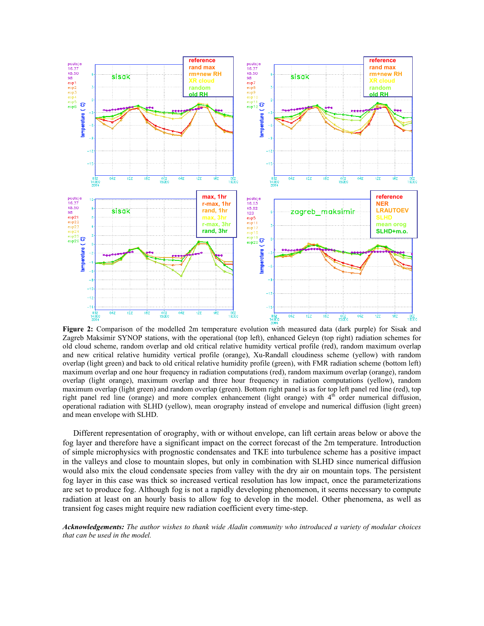

**Figure 2:** Comparison of the modelled 2m temperature evolution with measured data (dark purple) for Sisak and Zagreb Maksimir SYNOP stations, with the operational (top left), enhanced Geleyn (top right) radiation schemes for old cloud scheme, random overlap and old critical relative humidity vertical profile (red), random maximum overlap and new critical relative humidity vertical profile (orange), Xu-Randall cloudiness scheme (yellow) with random overlap (light green) and back to old critical relative humidity profile (green), with FMR radiation scheme (bottom left) maximum overlap and one hour frequency in radiation computations (red), random maximum overlap (orange), random overlap (light orange), maximum overlap and three hour frequency in radiation computations (yellow), random maximum overlap (light green) and random overlap (green). Bottom right panel is as for top left panel red line (red), top right panel red line (orange) and more complex enhancement (light orange) with 4<sup>th</sup> order numerical diffusion, operational radiation with SLHD (yellow), mean orography instead of envelope and numerical diffusion (light green) and mean envelope with SLHD.

Different representation of orography, with or without envelope, can lift certain areas below or above the fog layer and therefore have a significant impact on the correct forecast of the 2m temperature. Introduction of simple microphysics with prognostic condensates and TKE into turbulence scheme has a positive impact in the valleys and close to mountain slopes, but only in combination with SLHD since numerical diffusion would also mix the cloud condensate species from valley with the dry air on mountain tops. The persistent fog layer in this case was thick so increased vertical resolution has low impact, once the parameterizations are set to produce fog. Although fog is not a rapidly developing phenomenon, it seems necessary to compute radiation at least on an hourly basis to allow fog to develop in the model. Other phenomena, as well as transient fog cases might require new radiation coefficient every time-step.

*Acknowledgements: The author wishes to thank wide Aladin community who introduced a variety of modular choices that can be used in the model.*